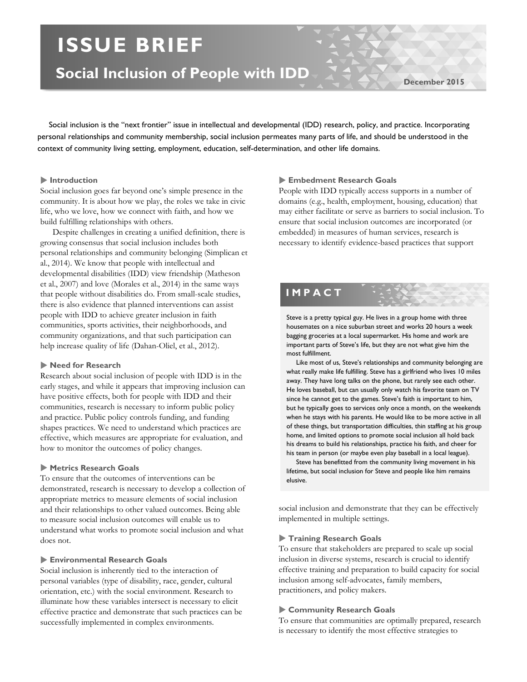# **ISSUE BRIEF**

**Social Inclusion of People with IDD**

**December 2015**

 Social inclusion is the "next frontier" issue in intellectual and developmental (IDD) research, policy, and practice. Incorporating personal relationships and community membership, social inclusion permeates many parts of life, and should be understood in the context of community living setting, employment, education, self-determination, and other life domains.

#### **Introduction**

Social inclusion goes far beyond one's simple presence in the community. It is about how we play, the roles we take in civic life, who we love, how we connect with faith, and how we build fulfilling relationships with others.

Despite challenges in creating a unified definition, there is growing consensus that social inclusion includes both personal relationships and community belonging (Simplican et al., 2014). We know that people with intellectual and developmental disabilities (IDD) view friendship (Matheson et al., 2007) and love (Morales et al., 2014) in the same ways that people without disabilities do. From small-scale studies, there is also evidence that planned interventions can assist people with IDD to achieve greater inclusion in faith communities, sports activities, their neighborhoods, and community organizations, and that such participation can help increase quality of life (Dahan-Oliel, et al., 2012).

#### **Need for Research**

Research about social inclusion of people with IDD is in the early stages, and while it appears that improving inclusion can have positive effects, both for people with IDD and their communities, research is necessary to inform public policy and practice. Public policy controls funding, and funding shapes practices. We need to understand which practices are effective, which measures are appropriate for evaluation, and how to monitor the outcomes of policy changes.

### **Metrics Research Goals**

To ensure that the outcomes of interventions can be demonstrated, research is necessary to develop a collection of appropriate metrics to measure elements of social inclusion and their relationships to other valued outcomes. Being able to measure social inclusion outcomes will enable us to understand what works to promote social inclusion and what does not.

# **Environmental Research Goals**

Social inclusion is inherently tied to the interaction of personal variables (type of disability, race, gender, cultural orientation, etc.) with the social environment. Research to illuminate how these variables intersect is necessary to elicit effective practice and demonstrate that such practices can be successfully implemented in complex environments.

# **Embedment Research Goals**

People with IDD typically access supports in a number of domains (e.g., health, employment, housing, education) that may either facilitate or serve as barriers to social inclusion. To ensure that social inclusion outcomes are incorporated (or embedded) in measures of human services, research is necessary to identify evidence-based practices that support

# **IMPACT**

Steve is a pretty typical guy. He lives in a group home with three housemates on a nice suburban street and works 20 hours a week bagging groceries at a local supermarket. His home and work are important parts of Steve's life, but they are not what give him the most fulfillment.

 Like most of us, Steve's relationships and community belonging are what really make life fulfilling. Steve has a girlfriend who lives 10 miles away. They have long talks on the phone, but rarely see each other. He loves baseball, but can usually only watch his favorite team on TV since he cannot get to the games. Steve's faith is important to him, but he typically goes to services only once a month, on the weekends when he stays with his parents. He would like to be more active in all of these things, but transportation difficulties, thin staffing at his group home, and limited options to promote social inclusion all hold back his dreams to build his relationships, practice his faith, and cheer for his team in person (or maybe even play baseball in a local league).

 Steve has benefitted from the community living movement in his lifetime, but social inclusion for Steve and people like him remains elusive.

social inclusion and demonstrate that they can be effectively implemented in multiple settings.

#### **Training Research Goals**

To ensure that stakeholders are prepared to scale up social inclusion in diverse systems, research is crucial to identify effective training and preparation to build capacity for social inclusion among self-advocates, family members, practitioners, and policy makers.

#### **Community Research Goals**

To ensure that communities are optimally prepared, research is necessary to identify the most effective strategies to